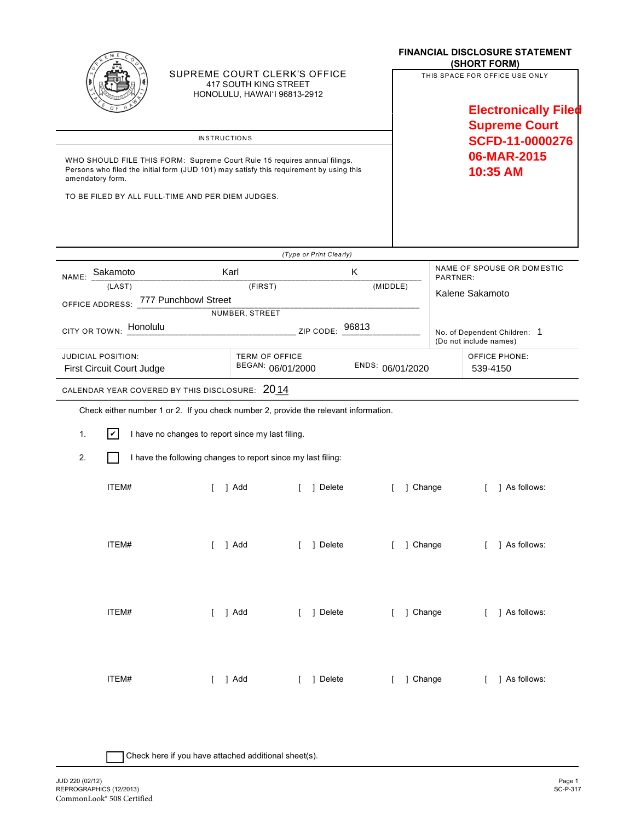|                                                                                                                                                                                          |       |                                                                                      |                                                                                       |         |                         |                  | <b>FINANCIAL DISCLOSURE STATEMENT</b><br>(SHORT FORM) |                                  |                                                               |  |  |
|------------------------------------------------------------------------------------------------------------------------------------------------------------------------------------------|-------|--------------------------------------------------------------------------------------|---------------------------------------------------------------------------------------|---------|-------------------------|------------------|-------------------------------------------------------|----------------------------------|---------------------------------------------------------------|--|--|
|                                                                                                                                                                                          |       |                                                                                      | SUPREME COURT CLERK'S OFFICE<br>417 SOUTH KING STREET<br>HONOLULU, HAWAI'I 96813-2912 |         |                         |                  |                                                       |                                  | THIS SPACE FOR OFFICE USE ONLY<br><b>Electronically Filed</b> |  |  |
|                                                                                                                                                                                          |       |                                                                                      |                                                                                       |         |                         |                  |                                                       | <b>Supreme Court</b>             |                                                               |  |  |
| <b>INSTRUCTIONS</b>                                                                                                                                                                      |       |                                                                                      |                                                                                       |         |                         |                  |                                                       | <b>SCFD-11-0000276</b>           |                                                               |  |  |
| WHO SHOULD FILE THIS FORM: Supreme Court Rule 15 requires annual filings.<br>Persons who filed the initial form (JUD 101) may satisfy this requirement by using this<br>amendatory form. |       |                                                                                      |                                                                                       |         |                         |                  |                                                       | 06-MAR-2015<br>10:35 AM          |                                                               |  |  |
| TO BE FILED BY ALL FULL-TIME AND PER DIEM JUDGES.                                                                                                                                        |       |                                                                                      |                                                                                       |         |                         |                  |                                                       |                                  |                                                               |  |  |
|                                                                                                                                                                                          |       |                                                                                      |                                                                                       |         |                         |                  |                                                       |                                  |                                                               |  |  |
|                                                                                                                                                                                          |       |                                                                                      |                                                                                       |         | (Type or Print Clearly) |                  |                                                       |                                  |                                                               |  |  |
| NAME: Sakamoto                                                                                                                                                                           |       |                                                                                      | Karl<br>K                                                                             |         |                         |                  |                                                       |                                  | NAME OF SPOUSE OR DOMESTIC<br>PARTNER:                        |  |  |
| (LAST)<br>OFFICE ADDRESS: 777 Punchbowl Street                                                                                                                                           |       |                                                                                      |                                                                                       | (FIRST) |                         |                  | (MIDDLE)                                              | Kalene Sakamoto                  |                                                               |  |  |
|                                                                                                                                                                                          |       |                                                                                      | NUMBER, STREET                                                                        |         |                         |                  |                                                       |                                  |                                                               |  |  |
| Honolulu<br>ZIP CODE: 96813<br><b>CITY OR TOWN:</b>                                                                                                                                      |       |                                                                                      |                                                                                       |         |                         |                  |                                                       |                                  | No. of Dependent Children: 1<br>(Do not include names)        |  |  |
| <b>JUDICIAL POSITION:</b><br>First Circuit Court Judge                                                                                                                                   |       |                                                                                      | <b>TERM OF OFFICE</b><br>BEGAN: 06/01/2000                                            |         |                         | ENDS: 06/01/2020 |                                                       | <b>OFFICE PHONE:</b><br>539-4150 |                                                               |  |  |
|                                                                                                                                                                                          |       | CALENDAR YEAR COVERED BY THIS DISCLOSURE: 2014                                       |                                                                                       |         |                         |                  |                                                       |                                  |                                                               |  |  |
|                                                                                                                                                                                          |       | Check either number 1 or 2. If you check number 2, provide the relevant information. |                                                                                       |         |                         |                  |                                                       |                                  |                                                               |  |  |
| 1.                                                                                                                                                                                       | l۷l   | I have no changes to report since my last filing.                                    |                                                                                       |         |                         |                  |                                                       |                                  |                                                               |  |  |
| 2.                                                                                                                                                                                       |       | I have the following changes to report since my last filing:                         |                                                                                       |         |                         |                  |                                                       |                                  |                                                               |  |  |
|                                                                                                                                                                                          | ITEM# |                                                                                      | 1 Add                                                                                 |         | 1 Delete                |                  |                                                       | 1 Change                         | 1 As follows:                                                 |  |  |
|                                                                                                                                                                                          | ITEM# | $[$ ] Add                                                                            |                                                                                       |         | [ ] Delete              |                  |                                                       |                                  | [ ] Change [ ] As follows:                                    |  |  |
|                                                                                                                                                                                          | ITEM# | [ ] Add                                                                              |                                                                                       |         | [ ] Delete              |                  |                                                       | [ ] Change                       | [ ] As follows:                                               |  |  |
|                                                                                                                                                                                          | ITEM# | $[$ ] Add                                                                            |                                                                                       |         | [ ] Delete              |                  | [ ] Change                                            |                                  | [ ] As follows:                                               |  |  |

| Check here if you have attached additional sheet(s).